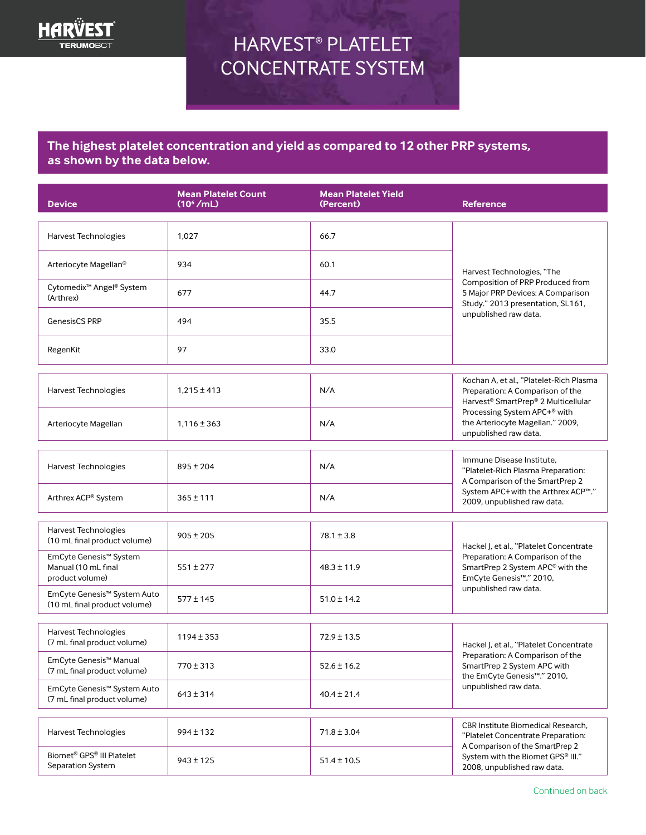

# HARVEST® PLATELET CONCENTRATE SYSTEM

## **The highest platelet concentration and yield as compared to 12 other PRP systems, as shown by the data below.**

| <b>Device</b>                                                          | <b>Mean Platelet Count</b><br>(10 <sup>6</sup> /mL) | <b>Mean Platelet Yield</b><br>(Percent) | <b>Reference</b>                                                                                                                                                                                                            |
|------------------------------------------------------------------------|-----------------------------------------------------|-----------------------------------------|-----------------------------------------------------------------------------------------------------------------------------------------------------------------------------------------------------------------------------|
| Harvest Technologies                                                   | 1,027                                               | 66.7                                    | Harvest Technologies, "The<br>Composition of PRP Produced from<br>5 Major PRP Devices: A Comparison<br>Study." 2013 presentation, SL161,<br>unpublished raw data.                                                           |
| Arteriocyte Magellan®                                                  | 934                                                 | 60.1                                    |                                                                                                                                                                                                                             |
| Cytomedix <sup>™</sup> Angel® System<br>(Arthrex)                      | 677                                                 | 44.7                                    |                                                                                                                                                                                                                             |
| <b>GenesisCS PRP</b>                                                   | 494                                                 | 35.5                                    |                                                                                                                                                                                                                             |
| RegenKit                                                               | 97                                                  | 33.0                                    |                                                                                                                                                                                                                             |
| Harvest Technologies                                                   | $1,215 \pm 413$                                     | N/A                                     | Kochan A, et al., "Platelet-Rich Plasma<br>Preparation: A Comparison of the<br>Harvest <sup>®</sup> SmartPrep® 2 Multicellular<br>Processing System APC+® with<br>the Arteriocyte Magellan." 2009,<br>unpublished raw data. |
| Arteriocyte Magellan                                                   | $1,116 \pm 363$                                     | N/A                                     |                                                                                                                                                                                                                             |
| Harvest Technologies                                                   | $895 \pm 204$                                       | N/A                                     | Immune Disease Institute.<br>"Platelet-Rich Plasma Preparation:<br>A Comparison of the SmartPrep 2<br>System APC+ with the Arthrex ACP™."<br>2009, unpublished raw data.                                                    |
| Arthrex ACP® System                                                    | $365 \pm 111$                                       | N/A                                     |                                                                                                                                                                                                                             |
| Harvest Technologies<br>(10 mL final product volume)                   | $905 \pm 205$                                       | $78.1 \pm 3.8$                          | Hackel J, et al., "Platelet Concentrate<br>Preparation: A Comparison of the<br>SmartPrep 2 System APC® with the<br>EmCyte Genesis™." 2010,<br>unpublished raw data.                                                         |
| EmCyte Genesis™ System<br>Manual (10 mL final<br>product volume)       | $551 \pm 277$                                       | $48.3 \pm 11.9$                         |                                                                                                                                                                                                                             |
| EmCyte Genesis™ System Auto<br>(10 mL final product volume)            | $577 \pm 145$                                       | $51.0 \pm 14.2$                         |                                                                                                                                                                                                                             |
| Harvest Technologies<br>(7 mL final product volume)                    | $1194 \pm 353$                                      | $72.9 \pm 13.5$                         | Hackel J, et al., "Platelet Concentrate<br>Preparation: A Comparison of the<br>SmartPrep 2 System APC with<br>the EmCyte Genesis <sup>™</sup> ." 2010,<br>unpublished raw data.                                             |
| EmCyte Genesis™ Manual<br>(7 mL final product volume)                  | $770 \pm 313$                                       | $52.6 \pm 16.2$                         |                                                                                                                                                                                                                             |
| EmCyte Genesis™ System Auto<br>(7 mL final product volume)             | $643 \pm 314$                                       | $40.4 \pm 21.4$                         |                                                                                                                                                                                                                             |
| Harvest Technologies                                                   | $994 \pm 132$                                       | $71.8 \pm 3.04$                         | CBR Institute Biomedical Research,<br>"Platelet Concentrate Preparation:<br>A Comparison of the SmartPrep 2<br>System with the Biomet GPS® III."<br>2008, unpublished raw data.                                             |
| Biomet <sup>®</sup> GPS <sup>®</sup> III Platelet<br>Separation System | $943 \pm 125$                                       | $51.4 \pm 10.5$                         |                                                                                                                                                                                                                             |